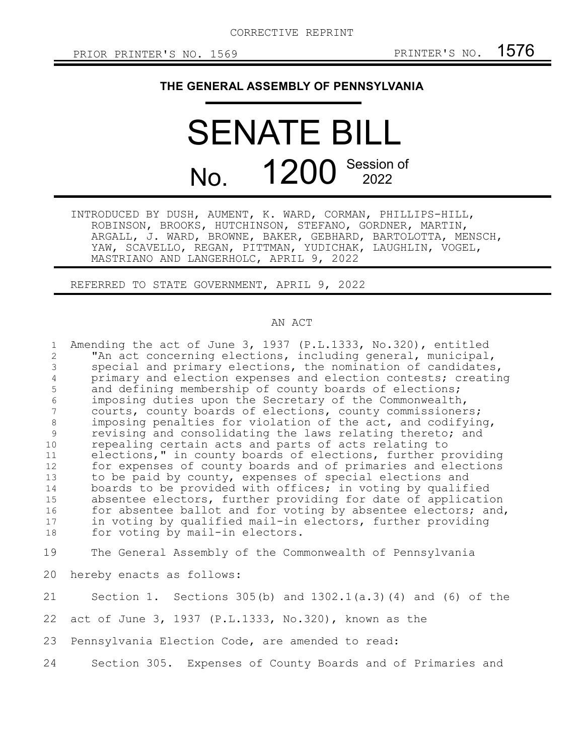## **THE GENERAL ASSEMBLY OF PENNSYLVANIA**

## SENATE BILL No. 1200 Session of 2022

INTRODUCED BY DUSH, AUMENT, K. WARD, CORMAN, PHILLIPS-HILL, ROBINSON, BROOKS, HUTCHINSON, STEFANO, GORDNER, MARTIN, ARGALL, J. WARD, BROWNE, BAKER, GEBHARD, BARTOLOTTA, MENSCH, YAW, SCAVELLO, REGAN, PITTMAN, YUDICHAK, LAUGHLIN, VOGEL, MASTRIANO AND LANGERHOLC, APRIL 9, 2022

REFERRED TO STATE GOVERNMENT, APRIL 9, 2022

## AN ACT

Amending the act of June 3, 1937 (P.L.1333, No.320), entitled "An act concerning elections, including general, municipal, special and primary elections, the nomination of candidates, primary and election expenses and election contests; creating and defining membership of county boards of elections; imposing duties upon the Secretary of the Commonwealth, courts, county boards of elections, county commissioners; imposing penalties for violation of the act, and codifying, revising and consolidating the laws relating thereto; and repealing certain acts and parts of acts relating to elections," in county boards of elections, further providing for expenses of county boards and of primaries and elections to be paid by county, expenses of special elections and boards to be provided with offices; in voting by qualified absentee electors, further providing for date of application for absentee ballot and for voting by absentee electors; and, in voting by qualified mail-in electors, further providing for voting by mail-in electors. 1 2 3 4 5 6 7 8 9 10 11 12 13 14 15 16 17 18

The General Assembly of the Commonwealth of Pennsylvania 19

hereby enacts as follows: 20

Section 1. Sections 305(b) and  $1302.1(a.3)(4)$  and (6) of the 21

act of June 3, 1937 (P.L.1333, No.320), known as the 22

Pennsylvania Election Code, are amended to read: 23

Section 305. Expenses of County Boards and of Primaries and 24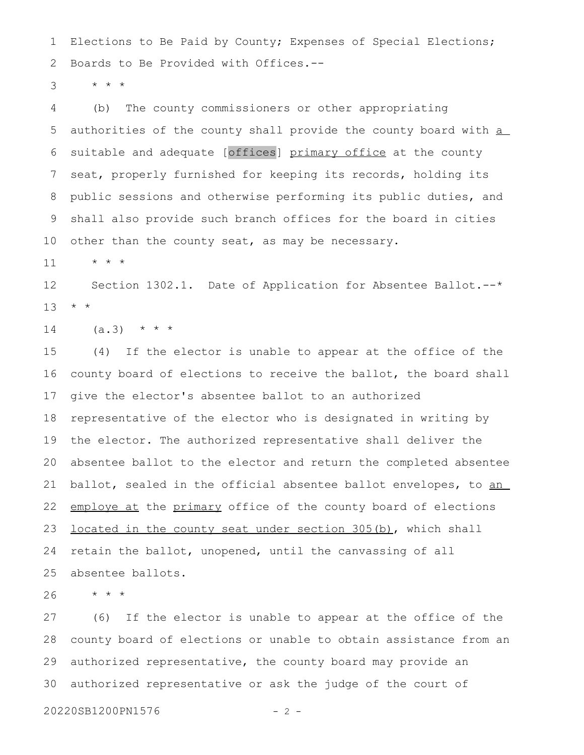Elections to Be Paid by County; Expenses of Special Elections; Boards to Be Provided with Offices.-- 1 2

\* \* \* 3

(b) The county commissioners or other appropriating authorities of the county shall provide the county board with a suitable and adequate [offices] primary office at the county seat, properly furnished for keeping its records, holding its public sessions and otherwise performing its public duties, and shall also provide such branch offices for the board in cities other than the county seat, as may be necessary. 4 5 6 7 8 9 10

\* \* \* 11

Section 1302.1. Date of Application for Absentee Ballot.--\* \* \* 12 13

 $(a.3)$  \* \* \* 14

(4) If the elector is unable to appear at the office of the county board of elections to receive the ballot, the board shall give the elector's absentee ballot to an authorized representative of the elector who is designated in writing by the elector. The authorized representative shall deliver the absentee ballot to the elector and return the completed absentee ballot, sealed in the official absentee ballot envelopes, to an employe at the primary office of the county board of elections located in the county seat under section 305(b), which shall retain the ballot, unopened, until the canvassing of all absentee ballots. 15 16 17 18 19 20 21 22 23 24 25

\* \* \* 26

(6) If the elector is unable to appear at the office of the county board of elections or unable to obtain assistance from an authorized representative, the county board may provide an authorized representative or ask the judge of the court of 27 28 29 30

20220SB1200PN1576 - 2 -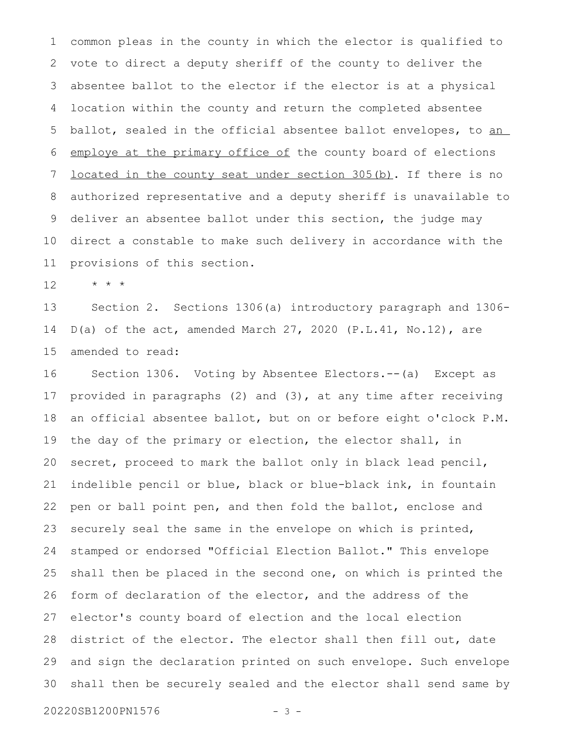common pleas in the county in which the elector is qualified to vote to direct a deputy sheriff of the county to deliver the absentee ballot to the elector if the elector is at a physical location within the county and return the completed absentee ballot, sealed in the official absentee ballot envelopes, to an employe at the primary office of the county board of elections located in the county seat under section 305(b). If there is no authorized representative and a deputy sheriff is unavailable to deliver an absentee ballot under this section, the judge may direct a constable to make such delivery in accordance with the provisions of this section. 1 2 3 4 5 6 7 8 9 10 11

\* \* \* 12

Section 2. Sections 1306(a) introductory paragraph and 1306- D(a) of the act, amended March 27, 2020 (P.L.41, No.12), are amended to read: 13 14 15

Section 1306. Voting by Absentee Electors.--(a) Except as provided in paragraphs (2) and (3), at any time after receiving an official absentee ballot, but on or before eight o'clock P.M. the day of the primary or election, the elector shall, in secret, proceed to mark the ballot only in black lead pencil, indelible pencil or blue, black or blue-black ink, in fountain pen or ball point pen, and then fold the ballot, enclose and securely seal the same in the envelope on which is printed, stamped or endorsed "Official Election Ballot." This envelope shall then be placed in the second one, on which is printed the form of declaration of the elector, and the address of the elector's county board of election and the local election district of the elector. The elector shall then fill out, date and sign the declaration printed on such envelope. Such envelope shall then be securely sealed and the elector shall send same by 16 17 18 19 20 21 22 23 24 25 26 27 28 29 30

20220SB1200PN1576 - 3 -